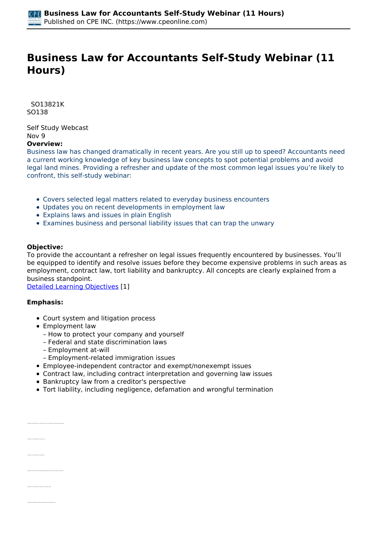# **Business Law for Accountants Self-Study Webinar (11 Hours)**

 *SO13821K SO138* 

*Self Study Webcast Nov 9*  **Overview:** 

*Business law has changed dramatically in recent years. Are you still up to speed? Accountants need a current working knowledge of key business law concepts to spot potential problems and avoid legal land mines. Providing a refresher and update of the most common legal issues you're likely to confront, this self-study webinar:*

- *Covers selected legal matters related to everyday business encounters*
- *Updates you on recent developments in employment law*
- *Explains laws and issues in plain English*
- *Examines business and personal liability issues that can trap the unwary*

#### **Objective:**

*To provide the accountant a refresher on legal issues frequently encountered by businesses. You'll be equipped to identify and resolve issues before they become expensive problems in such areas as employment, contract law, tort liability and bankruptcy. All concepts are clearly explained from a business standpoint.*

*[Detailed Learning Objectives](https://www.cpeonline.com/JavaScript:showObjectivesPopup();) [1]*

#### **Emphasis:**

*• Identify the earliest behavior of mankind prior to the development of modern legal concepts*

*• Recognize the monetary threshold for federal jurisdiction where there is diverse citizenship* 

- *Court system and litigation process*
- *Employment law*
	- *How to protect your company and yourself*
	- *Federal and state discrimination laws*
	- *Employment at-will*
	- *Employment-related immigration issues*
- *Employee-independent contractor and exempt/nonexempt issues*
- *Contract law, including contract interpretation and governing law issues*
- *Bankruptcy law from a creditor's perspective*
- *Tort liability, including negligence, defamation and wrongful termination*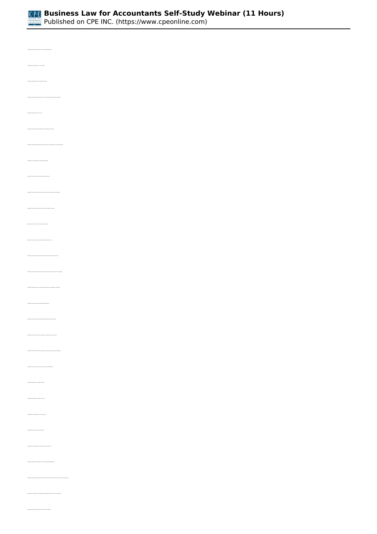

*• Identify the requirements for court standing • Identify the significance of the Supremacy Clause • Identify the terminology of federal, state, or local administrative agency rulemaking • Recognize authorized sources of law • Recognize the jurisdictional boundaries of the federal court system • Recognize the separate divisions of power branches incorporated into the US legal system • Recognize the characteristics of administrative laws • Identify the courts found within the federal court system • Identify the term used to identify the entity which initiates a lawsuit • Recognize the context of the legal discovery process • Recognize the types of court actions typically involving a jury • Recognize the terminology associated with a reference to the burden of proof • Identify the degree to which an individual will be bound by mediation or arbitration • Identify the characteristics of an administrative agency • Identify the requirements for appealing an administrative agency finding • Identify the characteristics of the required contractual element of mutual agreement • Recognize the basic intention of a court's contract interpretation • Recognize examples of an express contract • Recognize the requirements of a valid contract • Identify those offers that may be revoked • Identify the characteristics of a valid acceptance of an offer • Identify the alternatives available to a contractually defrauded party • Recognize the categories of individuals with the legal inability to reach an agreement*

*• Recognize transactions that fall under the statute of frauds*